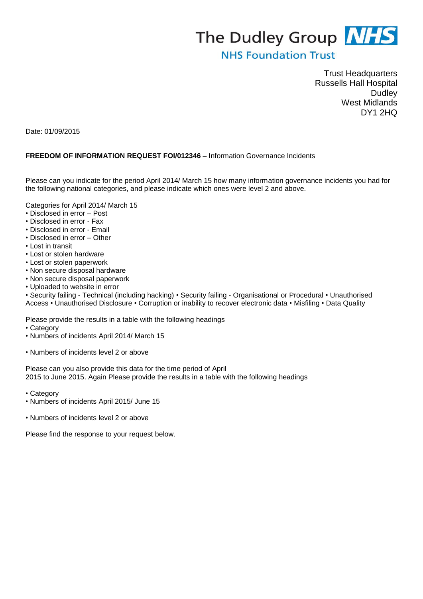## The Dudley Group NHS

## **NHS Foundation Trust**

Trust Headquarters Russells Hall Hospital **Dudley** West Midlands DY1 2HQ

Date: 01/09/2015

## **FREEDOM OF INFORMATION REQUEST FOI/012346 –** Information Governance Incidents

Please can you indicate for the period April 2014/ March 15 how many information governance incidents you had for the following national categories, and please indicate which ones were level 2 and above.

Categories for April 2014/ March 15

- Disclosed in error Post
- Disclosed in error Fax
- Disclosed in error Email
- Disclosed in error Other
- Lost in transit
- Lost or stolen hardware
- Lost or stolen paperwork
- Non secure disposal hardware
- Non secure disposal paperwork
- Uploaded to website in error

• Security failing - Technical (including hacking) • Security failing - Organisational or Procedural • Unauthorised Access • Unauthorised Disclosure • Corruption or inability to recover electronic data • Misfiling • Data Quality

Please provide the results in a table with the following headings

- Category
- Numbers of incidents April 2014/ March 15
- Numbers of incidents level 2 or above

Please can you also provide this data for the time period of April 2015 to June 2015. Again Please provide the results in a table with the following headings

• Category

- Numbers of incidents April 2015/ June 15
- Numbers of incidents level 2 or above

Please find the response to your request below.